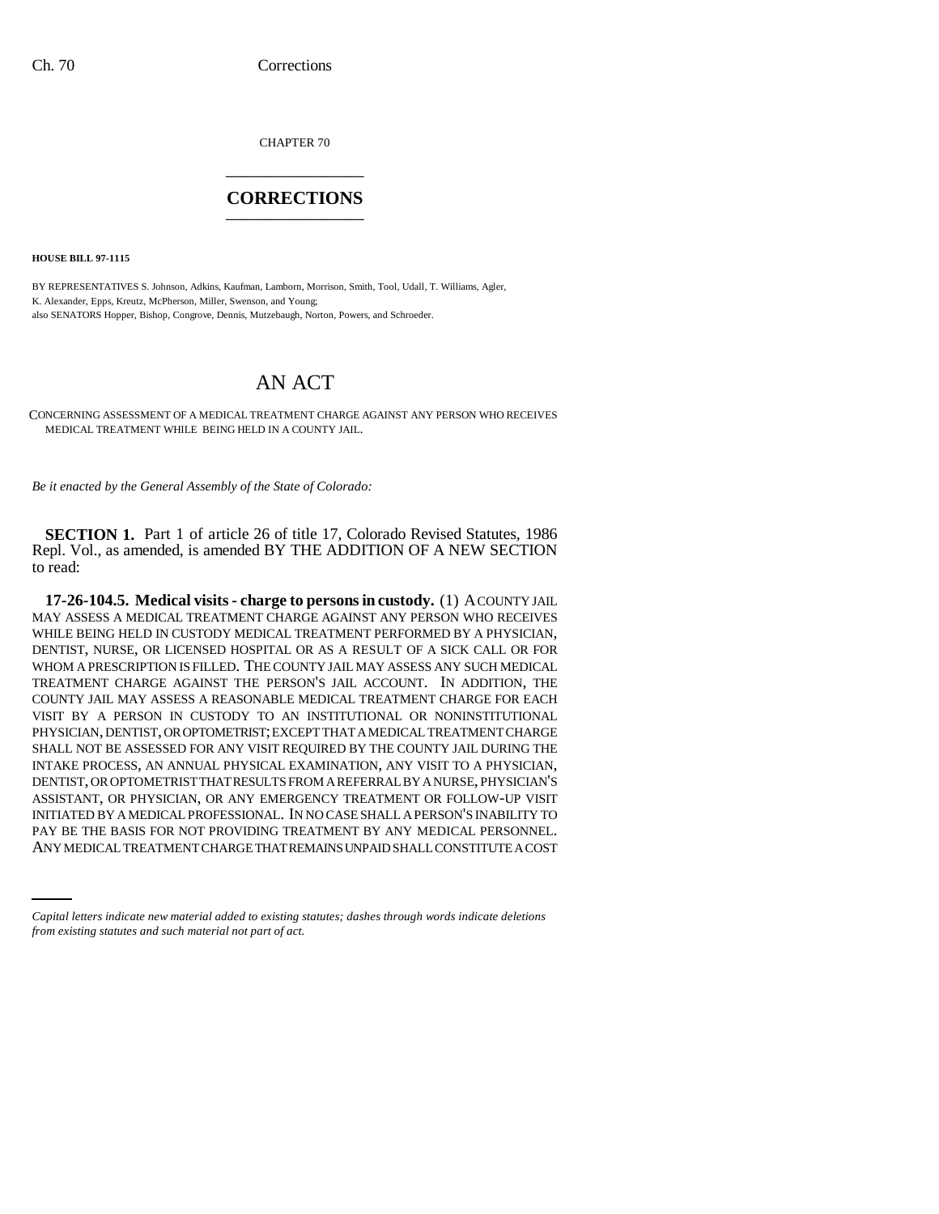CHAPTER 70 \_\_\_\_\_\_\_\_\_\_\_\_\_\_\_

## **CORRECTIONS** \_\_\_\_\_\_\_\_\_\_\_\_\_\_\_

**HOUSE BILL 97-1115**

BY REPRESENTATIVES S. Johnson, Adkins, Kaufman, Lamborn, Morrison, Smith, Tool, Udall, T. Williams, Agler, K. Alexander, Epps, Kreutz, McPherson, Miller, Swenson, and Young; also SENATORS Hopper, Bishop, Congrove, Dennis, Mutzebaugh, Norton, Powers, and Schroeder.

## AN ACT

CONCERNING ASSESSMENT OF A MEDICAL TREATMENT CHARGE AGAINST ANY PERSON WHO RECEIVES MEDICAL TREATMENT WHILE BEING HELD IN A COUNTY JAIL.

*Be it enacted by the General Assembly of the State of Colorado:*

**SECTION 1.** Part 1 of article 26 of title 17, Colorado Revised Statutes, 1986 Repl. Vol., as amended, is amended BY THE ADDITION OF A NEW SECTION to read:

INITIATED BY A MEDICAL PROFESSIONAL. IN NO CASE SHALL A PERSON'S INABILITY TO **17-26-104.5. Medical visits - charge to persons in custody.** (1) A COUNTY JAIL MAY ASSESS A MEDICAL TREATMENT CHARGE AGAINST ANY PERSON WHO RECEIVES WHILE BEING HELD IN CUSTODY MEDICAL TREATMENT PERFORMED BY A PHYSICIAN, DENTIST, NURSE, OR LICENSED HOSPITAL OR AS A RESULT OF A SICK CALL OR FOR WHOM A PRESCRIPTION IS FILLED. THE COUNTY JAIL MAY ASSESS ANY SUCH MEDICAL TREATMENT CHARGE AGAINST THE PERSON'S JAIL ACCOUNT. IN ADDITION, THE COUNTY JAIL MAY ASSESS A REASONABLE MEDICAL TREATMENT CHARGE FOR EACH VISIT BY A PERSON IN CUSTODY TO AN INSTITUTIONAL OR NONINSTITUTIONAL PHYSICIAN, DENTIST, OR OPTOMETRIST; EXCEPT THAT A MEDICAL TREATMENT CHARGE SHALL NOT BE ASSESSED FOR ANY VISIT REQUIRED BY THE COUNTY JAIL DURING THE INTAKE PROCESS, AN ANNUAL PHYSICAL EXAMINATION, ANY VISIT TO A PHYSICIAN, DENTIST, OR OPTOMETRIST THAT RESULTS FROM A REFERRAL BY A NURSE, PHYSICIAN'S ASSISTANT, OR PHYSICIAN, OR ANY EMERGENCY TREATMENT OR FOLLOW-UP VISIT PAY BE THE BASIS FOR NOT PROVIDING TREATMENT BY ANY MEDICAL PERSONNEL. ANY MEDICAL TREATMENT CHARGE THAT REMAINS UNPAID SHALL CONSTITUTE A COST

*Capital letters indicate new material added to existing statutes; dashes through words indicate deletions from existing statutes and such material not part of act.*